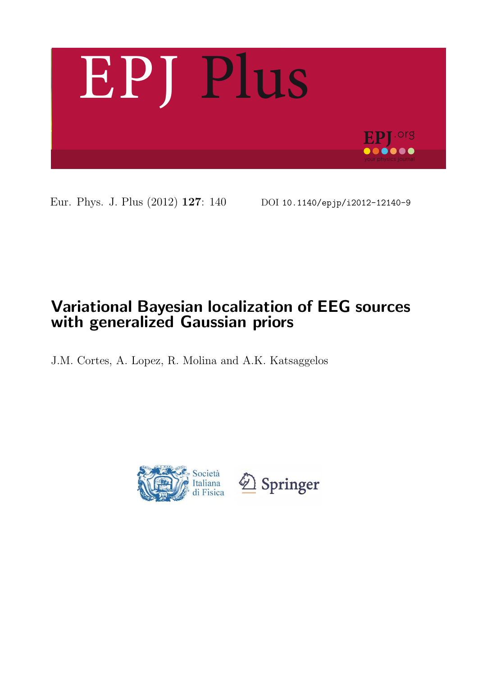

Eur. Phys. J. Plus (2012) 127: 140 DOI 10.1140/epjp/i2012-12140-9

# Variational Bayesian localization of EEG sources with generalized Gaussian priors

J.M. Cortes, A. Lopez, R. Molina and A.K. Katsaggelos

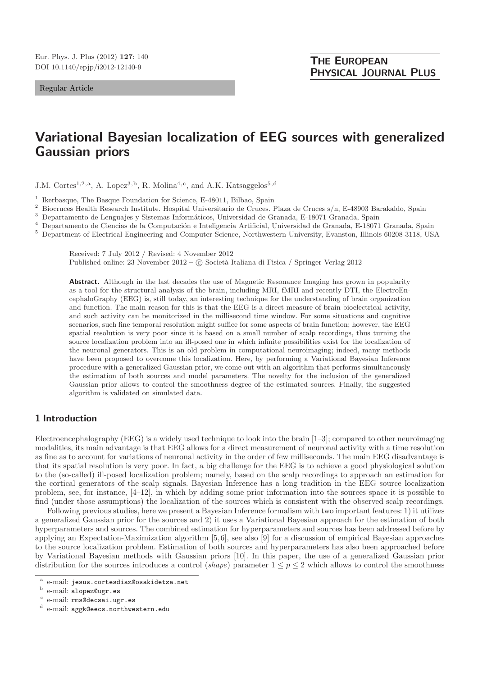Regular Article

## Variational Bayesian localization of EEG sources with generalized Gaussian priors

J.M. Cortes<sup>1,2,a</sup>, A. Lopez<sup>3,b</sup>, R. Molina<sup>4,c</sup>, and A.K. Katsaggelos<sup>5,d</sup>

1 Ikerbasque, The Basque Foundation for Science, E-48011, Bilbao, Spain

<sup>2</sup> Biocruces Health Research Institute. Hospital Universitario de Cruces. Plaza de Cruces s/n, E-48903 Barakaldo, Spain  $\frac{3}{2}$  Departmento de Langueiro y Sistemas Informáticos. Universidad de Creanada. E 18071 Cranada

Departamento de Lenguajes y Sistemas Informáticos, Universidad de Granada, E-18071 Granada, Spain

<sup>4</sup> Departamento de Ciencias de la Computación e Inteligencia Artificial, Universidad de Granada, E-18071 Granada, Spain  $^{5}$  Department of Electrical Engineering and Computer Science, Northwestern University, Eugeneten,

<sup>5</sup> Department of Electrical Engineering and Computer Science, Northwestern University, Evanston, Illinois 60208-3118, USA

Received: 7 July 2012 / Revised: 4 November 2012 Published online: 23 November 2012 – © Società Italiana di Fisica / Springer-Verlag 2012

Abstract. Although in the last decades the use of Magnetic Resonance Imaging has grown in popularity as a tool for the structural analysis of the brain, including MRI, fMRI and recently DTI, the ElectroEncephaloGraphy (EEG) is, still today, an interesting technique for the understanding of brain organization and function. The main reason for this is that the EEG is a direct measure of brain bioelectrical activity, and such activity can be monitorized in the millisecond time window. For some situations and cognitive scenarios, such fine temporal resolution might suffice for some aspects of brain function; however, the EEG spatial resolution is very poor since it is based on a small number of scalp recordings, thus turning the source localization problem into an ill-posed one in which infinite possibilities exist for the localization of the neuronal generators. This is an old problem in computational neuroimaging; indeed, many methods have been proposed to overcome this localization. Here, by performing a Variational Bayesian Inference procedure with a generalized Gaussian prior, we come out with an algorithm that performs simultaneously the estimation of both sources and model parameters. The novelty for the inclusion of the generalized Gaussian prior allows to control the smoothness degree of the estimated sources. Finally, the suggested algorithm is validated on simulated data.

## 1 Introduction

Electroencephalography (EEG) is a widely used technique to look into the brain [1–3]; compared to other neuroimaging modalities, its main advantage is that EEG allows for a direct measurement of neuronal activity with a time resolution as fine as to account for variations of neuronal activity in the order of few milliseconds. The main EEG disadvantage is that its spatial resolution is very poor. In fact, a big challenge for the EEG is to achieve a good physiological solution to the (so-called) ill-posed localization problem; namely, based on the scalp recordings to approach an estimation for the cortical generators of the scalp signals. Bayesian Inference has a long tradition in the EEG source localization problem, see, for instance, [4–12], in which by adding some prior information into the sources space it is possible to find (under those assumptions) the localization of the sources which is consistent with the observed scalp recordings.

Following previous studies, here we present a Bayesian Inference formalism with two important features: 1) it utilizes a generalized Gaussian prior for the sources and 2) it uses a Variational Bayesian approach for the estimation of both hyperparameters and sources. The combined estimation for hyperparameters and sources has been addressed before by applying an Expectation-Maximization algorithm  $[5, 6]$ , see also  $[9]$  for a discussion of empirical Bayesian approaches to the source localization problem. Estimation of both sources and hyperparameters has also been approached before by Variational Bayesian methods with Gaussian priors [10]. In this paper, the use of a generalized Gaussian prior distribution for the sources introduces a control (shape) parameter  $1 \leq p \leq 2$  which allows to control the smoothness

a e-mail: jesus.cortesdiaz@osakidetza.net

b e-mail: alopez@ugr.es

c e-mail: rms@decsai.ugr.es

d e-mail: aggk@eecs.northwestern.edu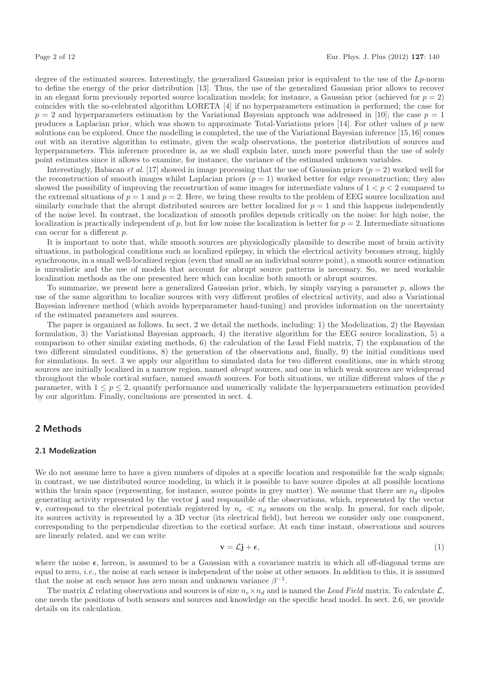degree of the estimated sources. Interestingly, the generalized Gaussian prior is equivalent to the use of the Lp-norm to define the energy of the prior distribution [13]. Thus, the use of the generalized Gaussian prior allows to recover in an elegant form previously reported source localization models; for instance, a Gaussian prior (achieved for  $p = 2$ ) coincides with the so-celebrated algorithm LORETA [4] if no hyperparameters estimation is performed; the case for  $p = 2$  and hyperparameters estimation by the Variational Bayesian approach was addressed in [10]; the case  $p = 1$ produces a Laplacian prior, which was shown to approximate Total-Variations priors [14]. For other values of p new solutions can be explored. Once the modelling is completed, the use of the Variational Bayesian inference [15, 16] comes out with an iterative algorithm to estimate, given the scalp observations, the posterior distribution of sources and hyperparameters. This inference procedure is, as we shall explain later, much more powerful than the use of solely point estimates since it allows to examine, for instance, the variance of the estimated unknown variables.

Interestingly, Babacan *et al.* [17] showed in image processing that the use of Gaussian priors  $(p = 2)$  worked well for the reconstruction of smooth images whilst Laplacian priors  $(p = 1)$  worked better for edge reconstruction; they also showed the possibility of improving the recostruction of some images for intermediate values of  $1 < p < 2$  compared to the extremal situations of  $p = 1$  and  $p = 2$ . Here, we bring these results to the problem of EEG source localization and similarly conclude that the abrupt distributed sources are better localized for  $p = 1$  and this happens independently of the noise level. In contrast, the localization of smooth profiles depends critically on the noise: for high noise, the localization is practically independent of p, but for low noise the localization is better for  $p = 2$ . Intermediate situations can occur for a different p.

It is important to note that, while smooth sources are physiologically plausible to describe most of brain activity situations, in pathological conditions such as localized epilepsy, in which the electrical activity becomes strong, highly synchronous, in a small well-localized region (even that small as an individual source point), a smooth source estimation is unrealistic and the use of models that account for abrupt source patterns is necessary. So, we need workable localization methods as the one presented here which can localize both smooth or abrupt sources.

To summarize, we present here a generalized Gaussian prior, which, by simply varying a parameter p, allows the use of the same algorithm to localize sources with very different profiles of electrical activity, and also a Variational Bayesian inference method (which avoids hyperparameter hand-tuning) and provides information on the uncertainty of the estimated parameters and sources.

The paper is organized as follows. In sect. 2 we detail the methods, including: 1) the Modelization, 2) the Bayesian formulation, 3) the Variational Bayesian approach, 4) the iterative algorithm for the EEG source localization, 5) a comparison to other similar existing methods, 6) the calculation of the Lead Field matrix, 7) the explanation of the two different simulated conditions, 8) the generation of the observations and, finally, 9) the initial conditions used for simulations. In sect. 3 we apply our algorithm to simulated data for two different conditions, one in which strong sources are initially localized in a narrow region, named *abrupt* sources, and one in which weak sources are widespread throughout the whole cortical surface, named *smooth* sources. For both situations, we utilize different values of the  $p$ parameter, with  $1 \leq p \leq 2$ , quantify performance and numerically validate the hyperparameters estimation provided by our algorithm. Finally, conclusions are presented in sect. 4.

## 2 Methods

### 2.1 Modelization

We do not assume here to have a given numbers of dipoles at a specific location and responsible for the scalp signals; in contrast, we use distributed source modeling, in which it is possible to have source dipoles at all possible locations within the brain space (representing, for instance, source points in grey matter). We assume that there are  $n_d$  dipoles generating activity represented by the vector j and responsible of the observations, which, represented by the vector v, correspond to the electrical potentials registered by  $n_e \ll n_d$  sensors on the scalp. In general, for each dipole, its sources activity is represented by a 3D vector (its electrical field), but hereon we consider only one component, corresponding to the perpendicular direction to the cortical surface. At each time instant, observations and sources are linearly related, and we can write

$$
\mathbf{v} = \mathcal{L}\mathbf{j} + \boldsymbol{\epsilon},\tag{1}
$$

where the noise  $\epsilon$ , hereon, is assumed to be a Gaussian with a covariance matrix in which all off-diagonal terms are equal to zero, *i.e.*, the noise at each sensor is independent of the noise at other sensors. In addition to this, it is assumed that the noise at each sensor has zero mean and unknown variance  $\beta^{-1}$ .

The matrix  $\mathcal L$  relating observations and sources is of size  $n_e \times n_d$  and is named the Lead Field matrix. To calculate  $\mathcal L$ , one needs the positions of both sensors and sources and knowledge on the specific head model. In sect. 2.6, we provide details on its calculation.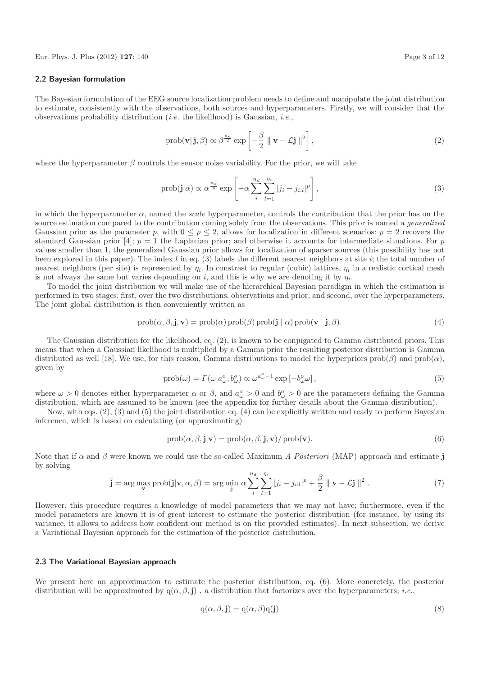#### 2.2 Bayesian formulation

The Bayesian formulation of the EEG source localization problem needs to define and manipulate the joint distribution to estimate, consistently with the observations, both sources and hyperparameters. Firstly, we will consider that the observations probability distribution (*i.e.* the likelihood) is Gaussian, *i.e.*,

$$
\text{prob}(\mathbf{v}|\mathbf{j},\beta) \propto \beta^{\frac{n_e}{2}} \exp\left[-\frac{\beta}{2} \parallel \mathbf{v} - \mathcal{L}\mathbf{j} \parallel^2\right],\tag{2}
$$

where the hyperparameter  $\beta$  controls the sensor noise variability. For the prior, we will take

$$
\text{prob}(\mathbf{j}|\alpha) \propto \alpha^{\frac{n_d}{p}} \exp\left[-\alpha \sum_{i}^{n_d} \sum_{l=1}^{n_i} |j_i - j_{i:l}|^p\right],\tag{3}
$$

in which the hyperparameter  $\alpha$ , named the scale hyperparameter, controls the contribution that the prior has on the source estimation compared to the contribution coming solely from the observations. This prior is named a *generalized* Gaussian prior as the parameter p, with  $0 \le p \le 2$ , allows for localization in different scenarios:  $p = 2$  recovers the standard Gaussian prior [4];  $p = 1$  the Laplacian prior; and otherwise it accounts for intermediate situations. For p values smaller than 1, the generalized Gaussian prior allows for localization of sparser sources (this possibility has not been explored in this paper). The index  $l$  in eq. (3) labels the different nearest neighbors at site  $i$ ; the total number of nearest neighbors (per site) is represented by  $\eta_i$ . In constrast to regular (cubic) lattices,  $\eta_i$  in a realistic cortical mesh is not always the same but varies depending on i, and this is why we are denoting it by  $\eta_i$ .

To model the joint distribution we will make use of the hierarchical Bayesian paradigm in which the estimation is performed in two stages: first, over the two distributions, observations and prior, and second, over the hyperparameters. The joint global distribution is then conveniently written as

$$
prob(\alpha, \beta, \mathbf{j}, \mathbf{v}) = prob(\alpha) prob(\beta) prob(\mathbf{j} \mid \alpha) prob(\mathbf{v} \mid \mathbf{j}, \beta).
$$
\n(4)

The Gaussian distribution for the likelihood, eq. (2), is known to be conjugated to Gamma distributed priors. This means that when a Gaussian likelihood is multiplied by a Gamma prior the resulting posterior distribution is Gamma distributed as well [18]. We use, for this reason, Gamma distributions to model the hyperpriors  $prob(\beta)$  and  $prob(\alpha)$ , given by

$$
prob(\omega) = \Gamma(\omega | a_{\omega}^o, b_{\omega}^o) \propto \omega^{a_{\omega}^o - 1} \exp\left[-b_{\omega}^o \omega\right],\tag{5}
$$

where  $\omega > 0$  denotes either hyperparameter  $\alpha$  or  $\beta$ , and  $a^o_\omega > 0$  and  $b^o_\omega > 0$  are the parameters defining the Gamma distribution, which are assumed to be known (see the appendix for further details about the Gamma distribution).

Now, with eqs.  $(2)$ ,  $(3)$  and  $(5)$  the joint distribution eq.  $(4)$  can be explicitly written and ready to perform Bayesian inference, which is based on calculating (or approximating)

$$
prob(\alpha, \beta, \mathbf{j}|\mathbf{v}) = prob(\alpha, \beta, \mathbf{j}, \mathbf{v}) / prob(\mathbf{v}).
$$
\n(6)

Note that if  $\alpha$  and  $\beta$  were known we could use the so-called Maximum A Posteriori (MAP) approach and estimate j by solving

$$
\hat{\mathbf{j}} = \arg\max_{\mathbf{v}} \text{prob}(\mathbf{j}|\mathbf{v}, \alpha, \beta) = \arg\min_{\mathbf{j}} \alpha \sum_{i}^{n_d} \sum_{l=1}^{n_i} |j_i - j_{i:l}|^p + \frac{\beta}{2} \|\mathbf{v} - \mathcal{L}\mathbf{j}\|^2.
$$
 (7)

However, this procedure requires a knowledge of model parameters that we may not have; furthermore, even if the model parameters are known it is of great interest to estimate the posterior distribution (for instance, by using its variance, it allows to address how confident our method is on the provided estimates). In next subsection, we derive a Variational Bayesian approach for the estimation of the posterior distribution.

#### 2.3 The Variational Bayesian approach

We present here an approximation to estimate the posterior distribution, eq. (6). More concretely, the posterior distribution will be approximated by  $q(\alpha, \beta, \mathbf{j})$ , a distribution that factorizes over the hyperparameters, *i.e.*,

$$
q(\alpha, \beta, \mathbf{j}) = q(\alpha, \beta)q(\mathbf{j})\tag{8}
$$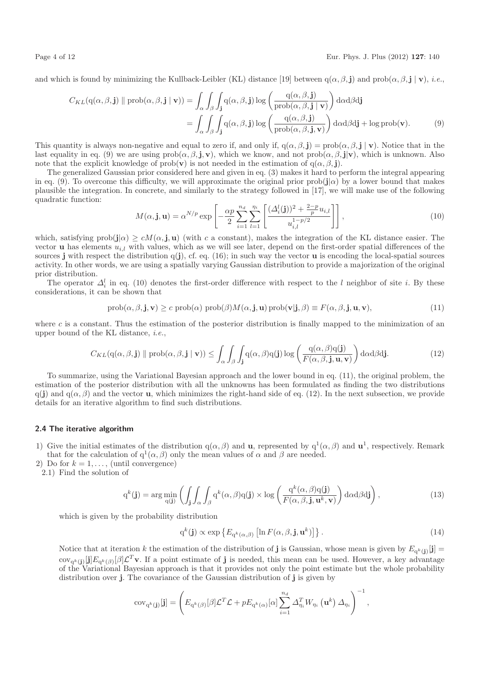Page 4 of 12 Eur. Phys. J. Plus (2012) 127: 140

and which is found by minimizing the Kullback-Leibler (KL) distance [19] between  $q(\alpha, \beta, j)$  and prob $(\alpha, \beta, j | v)$ , *i.e.*,

$$
C_{KL}(q(\alpha, \beta, \mathbf{j}) \parallel prob(\alpha, \beta, \mathbf{j} \mid \mathbf{v})) = \int_{\alpha} \int_{\beta} \int_{\mathbf{j}} q(\alpha, \beta, \mathbf{j}) \log \left( \frac{q(\alpha, \beta, \mathbf{j})}{prob(\alpha, \beta, \mathbf{j} \mid \mathbf{v})} \right) d\alpha d\beta d\mathbf{j}
$$

$$
= \int_{\alpha} \int_{\beta} \int_{\mathbf{j}} q(\alpha, \beta, \mathbf{j}) \log \left( \frac{q(\alpha, \beta, \mathbf{j})}{prob(\alpha, \beta, \mathbf{j}, \mathbf{v})} \right) d\alpha d\beta d\mathbf{j} + log prob(\mathbf{v}). \tag{9}
$$

This quantity is always non-negative and equal to zero if, and only if,  $q(\alpha, \beta, j) = prob(\alpha, \beta, j | v)$ . Notice that in the last equality in eq. (9) we are using  $prob(\alpha, \beta, \mathbf{j}, \mathbf{v})$ , which we know, and not  $prob(\alpha, \beta, \mathbf{j}|\mathbf{v})$ , which is unknown. Also note that the explicit knowledge of prob(**v**) is not needed in the estimation of  $q(\alpha, \beta, j)$ .

The generalized Gaussian prior considered here and given in eq. (3) makes it hard to perform the integral appearing in eq. (9). To overcome this difficulty, we will approximate the original prior prob(j| $\alpha$ ) by a lower bound that makes plausible the integration. In concrete, and similarly to the strategy followed in [17], we will make use of the following quadratic function:

$$
M(\alpha, \mathbf{j}, \mathbf{u}) = \alpha^{N/p} \exp\left[ -\frac{\alpha p}{2} \sum_{i=1}^{n_d} \sum_{l=1}^{\eta_i} \left[ \frac{(\Delta_i^l(\mathbf{j}))^2 + \frac{2-p}{p} u_{i,l}}{u_{i,l}^{1-p/2}} \right] \right],
$$
(10)

which, satisfying prob(j| $\alpha$ )  $\geq cM(\alpha, j, u)$  (with c a constant), makes the integration of the KL distance easier. The vector **u** has elements  $u_{i,l}$  with values, which as we will see later, depend on the first-order spatial differences of the sources j with respect the distribution  $q(j)$ , cf. eq. (16); in such way the vector **u** is encoding the local-spatial sources activity. In other words, we are using a spatially varying Gaussian distribution to provide a majorization of the original prior distribution.

The operator  $\Delta_i^l$  in eq. (10) denotes the first-order difference with respect to the l neighbor of site i. By these considerations, it can be shown that

$$
\text{prob}(\alpha, \beta, \mathbf{j}, \mathbf{v}) \ge c \text{ prob}(\alpha) \text{ prob}(\beta) M(\alpha, \mathbf{j}, \mathbf{u}) \text{ prob}(\mathbf{v}|\mathbf{j}, \beta) \equiv F(\alpha, \beta, \mathbf{j}, \mathbf{u}, \mathbf{v}),\tag{11}
$$

where c is a constant. Thus the estimation of the posterior distribution is finally mapped to the minimization of an upper bound of the KL distance, i.e.,

$$
C_{KL}(q(\alpha, \beta, \mathbf{j}) \parallel prob(\alpha, \beta, \mathbf{j} \mid \mathbf{v})) \le \int_{\alpha} \int_{\beta} \int_{\mathbf{j}} q(\alpha, \beta) q(\mathbf{j}) \log \left( \frac{q(\alpha, \beta) q(\mathbf{j})}{F(\alpha, \beta, \mathbf{j}, \mathbf{u}, \mathbf{v})} \right) d\alpha d\beta d\mathbf{j}.
$$
 (12)

To summarize, using the Variational Bayesian approach and the lower bound in eq. (11), the original problem, the estimation of the posterior distribution with all the unknowns has been formulated as finding the two distributions q(j) and  $q(\alpha, \beta)$  and the vector **u**, which minimizes the right-hand side of eq. (12). In the next subsection, we provide details for an iterative algorithm to find such distributions.

#### 2.4 The iterative algorithm

- 1) Give the initial estimates of the distribution  $q(\alpha, \beta)$  and **u**, represented by  $q^1(\alpha, \beta)$  and  $\mathbf{u}^1$ , respectively. Remark that for the calculation of  $q^1(\alpha, \beta)$  only the mean values of  $\alpha$  and  $\beta$  are needed.
- 2) Do for  $k = 1, \ldots$ , (until convergence)

2.1) Find the solution of

$$
q^{k}(\mathbf{j}) = \arg\min_{q(\mathbf{j})} \left( \iint_{\mathbf{j}} \int_{\alpha} \int_{\beta} q^{k}(\alpha, \beta) q(\mathbf{j}) \times \log \left( \frac{q^{k}(\alpha, \beta) q(\mathbf{j})}{F(\alpha, \beta, \mathbf{j}, \mathbf{u}^{k}, \mathbf{v})} \right) d\alpha d\beta d\mathbf{j} \right),
$$
\n(13)

which is given by the probability distribution

$$
q^{k}(\mathbf{j}) \propto \exp\left\{ E_{q^{k}(\alpha,\beta)} \left[ \ln F(\alpha,\beta,\mathbf{j},\mathbf{u}^{k}) \right] \right\}.
$$
 (14)

Notice that at iteration k the estimation of the distribution of **j** is Gaussian, whose mean is given by  $E_{q^k(j)}[j] =$  $\text{cov}_{q^k(j)}[j]E_{q^k(\beta)}[\beta]\mathcal{L}^T$ v. If a point estimate of j is needed, this mean can be used. However, a key advantage of the Variational Bayesian approach is that it provides not only the point estimate but the whole probability distribution over j. The covariance of the Gaussian distribution of j is given by

$$
cov_{q^k(j)}[j] = \left(E_{q^k(\beta)}[\beta] \mathcal{L}^T \mathcal{L} + pE_{q^k(\alpha)}[\alpha] \sum_{i=1}^{n_d} \Delta_{\eta_i}^T W_{\eta_i}(\mathbf{u}^k) \Delta_{\eta_i}\right)^{-1},
$$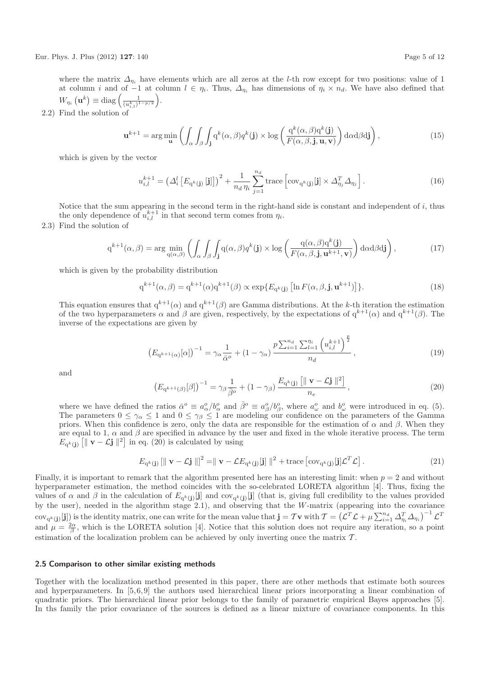Eur. Phys. J. Plus (2012) 127: 140 Page 5 of 12

where the matrix  $\Delta_{\eta_i}$  have elements which are all zeros at the l-th row except for two positions: value of 1 at column i and of  $-1$  at column  $l \in \eta_i$ . Thus,  $\Delta_{\eta_i}$  has dimensions of  $\eta_i \times n_d$ . We have also defined that  $W_{\eta_i}\left(\mathbf{u}^k\right) \equiv \text{diag}\left(\frac{1}{\left(u^k\right)^{1}}\right)$  $\setminus$ .

$$
w_{\eta_i}(\mathbf{u}) = \text{diag}\left(\frac{u_k}{(u_{i,l}^k)^{1-p/2}}\right)
$$
  
2.2) Find the solution of

$$
\mathbf{u}^{k+1} = \arg\min_{\mathbf{u}} \left( \int_{\alpha} \int_{\beta} \int_{\mathbf{j}} q^k(\alpha, \beta) q^k(\mathbf{j}) \times \log \left( \frac{q^k(\alpha, \beta) q^k(\mathbf{j})}{F(\alpha, \beta, \mathbf{j}, \mathbf{u}, \mathbf{v})} \right) d\alpha d\beta d\mathbf{j} \right),\tag{15}
$$

which is given by the vector

$$
u_{i,l}^{k+1} = \left(\Delta_i^l \left[E_{\mathbf{q}^k(\mathbf{j})}[\mathbf{j}]\right]\right)^2 + \frac{1}{n_d \eta_i} \sum_{j=1}^{n_d} \text{trace}\left[\text{cov}_{\mathbf{q}^k(\mathbf{j})}[\mathbf{j}] \times \Delta_{\eta_j}^T \Delta_{\eta_j}\right].
$$
 (16)

Notice that the sum appearing in the second term in the right-hand side is constant and independent of  $i$ , thus the only dependence of  $u_{i,l}^{k+1}$  in that second term comes from  $\eta_i$ .

2.3) Find the solution of

$$
\mathbf{q}^{k+1}(\alpha,\beta) = \arg\min_{\mathbf{q}(\alpha,\beta)} \left( \int_{\alpha} \int_{\beta} \int_{\mathbf{j}} \mathbf{q}(\alpha,\beta) q^k(\mathbf{j}) \times \log \left( \frac{\mathbf{q}(\alpha,\beta) \mathbf{q}^k(\mathbf{j})}{F(\alpha,\beta,\mathbf{j},\mathbf{u}^{k+1},\mathbf{v})} \right) d\alpha d\beta d\mathbf{j} \right),\tag{17}
$$

which is given by the probability distribution

$$
\mathbf{q}^{k+1}(\alpha,\beta) = \mathbf{q}^{k+1}(\alpha)\mathbf{q}^{k+1}(\beta) \propto \exp\{E_{\mathbf{q}^k(\mathbf{j})}\left[\ln F(\alpha,\beta,\mathbf{j},\mathbf{u}^{k+1})\right]\}.
$$
 (18)

This equation ensures that  $q^{k+1}(\alpha)$  and  $q^{k+1}(\beta)$  are Gamma distributions. At the k-th iteration the estimation of the two hyperparameters  $\alpha$  and  $\beta$  are given, respectively, by the expectations of  $q^{k+1}(\alpha)$  and  $q^{k+1}(\beta)$ . The inverse of the expectations are given by

$$
\left(E_{\mathbf{q}^{k+1}(\alpha)}[\alpha]\right)^{-1} = \gamma_{\alpha} \frac{1}{\bar{\alpha}^o} + (1 - \gamma_{\alpha}) \frac{p \sum_{i=1}^{n_d} \sum_{l=1}^{\eta_i} \left(u_{i,l}^{k+1}\right)^{\frac{p}{2}}}{n_d},\tag{19}
$$

and

$$
\left(E_{\mathbf{q}^{k+1}(\beta)}[\beta]\right)^{-1} = \gamma_{\beta} \frac{1}{\bar{\beta}^o} + (1 - \gamma_{\beta}) \frac{E_{\mathbf{q}^k(\mathbf{j})} \left[\|\mathbf{v} - \mathcal{L}\mathbf{j}\|^2\right]}{n_e},\tag{20}
$$

where we have defined the ratios  $\bar{\alpha}^o \equiv a^o_\alpha/b^o_\alpha$  and  $\bar{\beta}^o \equiv a^o_\beta/b^o_\beta$ , where  $a^o_\omega$  and  $b^o_\omega$  were introduced in eq. (5). The parameters  $0 \leq \gamma_\alpha \leq 1$  and  $0 \leq \gamma_\beta \leq 1$  are modeling our confidence on the parameters of the Gamma priors. When this confidence is zero, only the data are responsible for the estimation of  $\alpha$  and  $\beta$ . When they are equal to 1,  $\alpha$  and  $\beta$  are specified in advance by the user and fixed in the whole iterative process. The term  $E_{\mathbf{q}^k(\mathbf{j})} \left[ \|\mathbf{v} - \mathcal{L} \mathbf{j}\|^2 \right]$  in eq. (20) is calculated by using

$$
E_{\mathbf{q}^k(\mathbf{j})} \left[ \|\mathbf{v} - \mathcal{L}\mathbf{j}\| \right]^2 = \|\mathbf{v} - \mathcal{L}E_{\mathbf{q}^k(\mathbf{j})}[\mathbf{j}] \|^2 + \text{trace} \left[ \text{cov}_{\mathbf{q}^k(\mathbf{j})}[\mathbf{j}] \mathcal{L}^T \mathcal{L} \right]. \tag{21}
$$

Finally, it is important to remark that the algorithm presented here has an interesting limit: when  $p = 2$  and without hyperparameter estimation, the method coincides with the so-celebrated LORETA algorithm [4]. Thus, fixing the values of  $\alpha$  and  $\beta$  in the calculation of  $E_{q^k(j)}[j]$  and  $cov_{q^k(j)}[j]$  (that is, giving full credibility to the values provided by the user), needed in the algorithm stage 2.1), and observing that the W-matrix (appearing into the covariance cov<sub>q<sup>k</sup>(j)</sub>[j]) is the identity matrix, one can write for the mean value that  $\mathbf{j} = \mathcal{T}\mathbf{v}$  with  $\mathcal{T} = \left(\mathcal{L}^T\mathcal{L} + \mu \sum_{i=1}^{n_d} \Delta_{\eta_i}^T \Delta_{\eta_i}\right)^{-1} \mathcal{L}^T$ and  $\mu = \frac{2\alpha}{\beta}$ , which is the LORETA solution [4]. Notice that this solution does not require any iteration, so a point estimation of the localization problem can be achieved by only inverting once the matrix  $T$ .

#### 2.5 Comparison to other similar existing methods

Together with the localization method presented in this paper, there are other methods that estimate both sources and hyperparameters. In [5,6,9] the authors used hierarchical linear priors incorporating a linear combination of quadratic priors. The hierarchical linear prior belongs to the family of parametric empirical Bayes approaches [5]. In ths family the prior covariance of the sources is defined as a linear mixture of covariance components. In this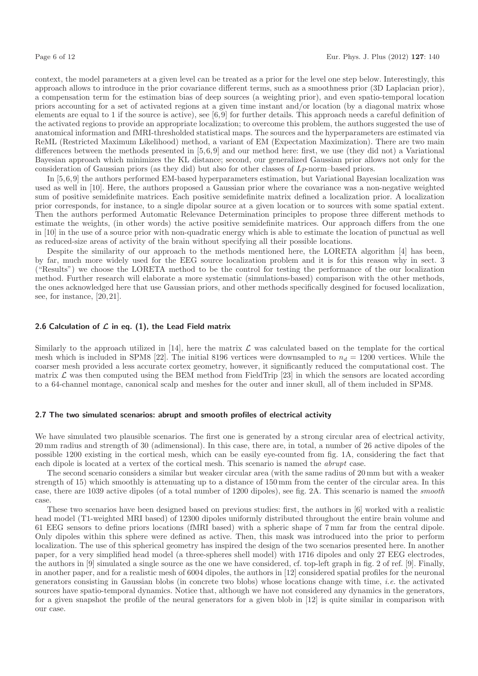context, the model parameters at a given level can be treated as a prior for the level one step below. Interestingly, this approach allows to introduce in the prior covariance different terms, such as a smoothness prior (3D Laplacian prior), a compensation term for the estimation bias of deep sources (a weighting prior), and even spatio-temporal location priors accounting for a set of activated regions at a given time instant and/or location (by a diagonal matrix whose elements are equal to 1 if the source is active), see  $[6, 9]$  for further details. This approach needs a careful definition of the activated regions to provide an appropriate localization; to overcome this problem, the authors suggested the use of anatomical information and fMRI-thresholded statistical maps. The sources and the hyperparameters are estimated via ReML (Restricted Maximum Likelihood) method, a variant of EM (Expectation Maximization). There are two main differences between the methods presented in [5, 6, 9] and our method here: first, we use (they did not) a Variational Bayesian approach which minimizes the KL distance; second, our generalized Gaussian prior allows not only for the consideration of Gaussian priors (as they did) but also for other classes of Lp-norm–based priors.

In [5, 6, 9] the authors performed EM-based hyperparameters estimation, but Variational Bayesian localization was used as well in [10]. Here, the authors proposed a Gaussian prior where the covariance was a non-negative weighted sum of positive semidefinite matrices. Each positive semidefinite matrix defined a localization prior. A localization prior corresponds, for instance, to a single dipolar source at a given location or to sources with some spatial extent. Then the authors performed Automatic Relevance Determination principles to propose three different methods to estimate the weights, (in other words) the active positive semidefinite matrices. Our approach differs from the one in [10] in the use of a source prior with non-quadratic energy which is able to estimate the location of punctual as well as reduced-size areas of activity of the brain without specifying all their possible locations.

Despite the similarity of our approach to the methods mentioned here, the LORETA algorithm [4] has been, by far, much more widely used for the EEG source localization problem and it is for this reason why in sect. 3 ("Results") we choose the LORETA method to be the control for testing the performance of the our localization method. Further research will elaborate a more systematic (simulations-based) comparison with the other methods, the ones acknowledged here that use Gaussian priors, and other methods specifically desgined for focused localization, see, for instance, [20, 21].

#### 2.6 Calculation of  $\mathcal L$  in eq. (1), the Lead Field matrix

Similarly to the approach utilized in [14], here the matrix  $\mathcal L$  was calculated based on the template for the cortical mesh which is included in SPM8 [22]. The initial 8196 vertices were downsampled to  $n_d = 1200$  vertices. While the coarser mesh provided a less accurate cortex geometry, however, it significantly reduced the computational cost. The matrix  $\mathcal L$  was then computed using the BEM method from FieldTrip [23] in which the sensors are located according to a 64-channel montage, canonical scalp and meshes for the outer and inner skull, all of them included in SPM8.

#### 2.7 The two simulated scenarios: abrupt and smooth profiles of electrical activity

We have simulated two plausible scenarios. The first one is generated by a strong circular area of electrical activity, 20 mm radius and strength of 30 (adimensional). In this case, there are, in total, a number of 26 active dipoles of the possible 1200 existing in the cortical mesh, which can be easily eye-counted from fig. 1A, considering the fact that each dipole is located at a vertex of the cortical mesh. This scenario is named the abrupt case.

The second scenario considers a similar but weaker circular area (with the same radius of 20 mm but with a weaker strength of 15) which smoothly is attenuating up to a distance of 150 mm from the center of the circular area. In this case, there are 1039 active dipoles (of a total number of 1200 dipoles), see fig. 2A. This scenario is named the smooth case.

These two scenarios have been designed based on previous studies: first, the authors in [6] worked with a realistic head model (T1-weighted MRI based) of 12300 dipoles uniformly distributed throughout the entire brain volume and 61 EEG sensors to define priors locations (fMRI based) with a spheric shape of 7 mm far from the central dipole. Only dipoles within this sphere were defined as active. Then, this mask was introduced into the prior to perform localization. The use of this spherical geometry has inspired the design of the two scenarios presented here. In another paper, for a very simplified head model (a three-spheres shell model) with 1716 dipoles and only 27 EEG electrodes, the authors in [9] simulated a single source as the one we have considered, cf. top-left graph in fig. 2 of ref. [9]. Finally, in another paper, and for a realistic mesh of 6004 dipoles, the authors in [12] considered spatial profiles for the neuronal generators consisting in Gaussian blobs (in concrete two blobs) whose locations change with time, i.e. the activated sources have spatio-temporal dynamics. Notice that, although we have not considered any dynamics in the generators, for a given snapshot the profile of the neural generators for a given blob in [12] is quite similar in comparison with our case.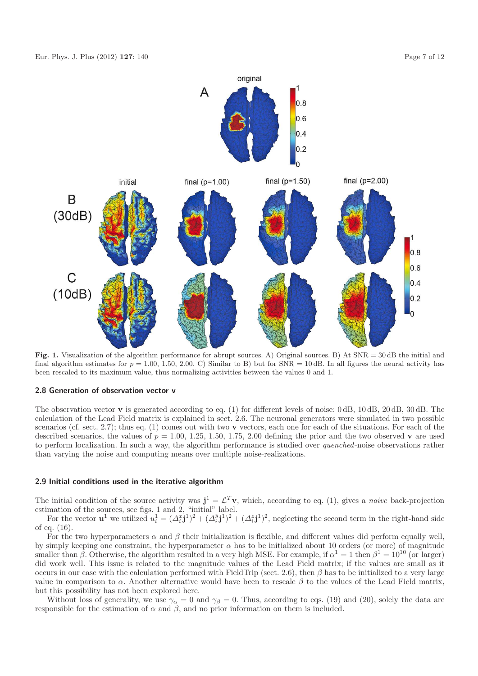

Fig. 1. Visualization of the algorithm performance for abrupt sources. A) Original sources. B) At SNR = 30 dB the initial and final algorithm estimates for  $p = 1.00, 1.50, 2.00$ . C) Similar to B) but for SNR = 10 dB. In all figures the neural activity has been rescaled to its maximum value, thus normalizing activities between the values 0 and 1.

#### 2.8 Generation of observation vector v

The observation vector  $\bf{v}$  is generated according to eq. (1) for different levels of noise: 0 dB, 10 dB, 20 dB, 30 dB. The calculation of the Lead Field matrix is explained in sect. 2.6. The neuronal generators were simulated in two possible scenarios (cf. sect. 2.7); thus eq. (1) comes out with two v vectors, each one for each of the situations. For each of the described scenarios, the values of  $p = 1.00, 1.25, 1.50, 1.75, 2.00$  defining the prior and the two observed v are used to perform localization. In such a way, the algorithm performance is studied over *quenched*-noise observations rather than varying the noise and computing means over multiple noise-realizations.

#### 2.9 Initial conditions used in the iterative algorithm

The initial condition of the source activity was  $\mathbf{j}^1 = \mathcal{L}^T \mathbf{v}$ , which, according to eq. (1), gives a *naive* back-projection estimation of the sources, see figs. 1 and 2, "initial" label.

For the vector  $\mathbf{u}^1$  we utilized  $u_i^1 = (\Delta_i^x \mathbf{j}^1)^2 + (\Delta_i^y \mathbf{j}^1)^2 + (\Delta_i^z \mathbf{j}^1)^2$ , neglecting the second term in the right-hand side of eq. (16).

For the two hyperparameters  $\alpha$  and  $\beta$  their initialization is flexible, and different values did perform equally well, by simply keeping one constraint, the hyperparameter  $\alpha$  has to be initialized about 10 orders (or more) of magnitude smaller than  $\beta$ . Otherwise, the algorithm resulted in a very high MSE. For example, if  $\alpha^1 = 1$  then  $\beta^1 = 10^{10}$  (or larger) did work well. This issue is related to the magnitude values of the Lead Field matrix; if the values are small as it occurs in our case with the calculation performed with FieldTrip (sect. 2.6), then  $\beta$  has to be initialized to a very large value in comparison to  $\alpha$ . Another alternative would have been to rescale  $\beta$  to the values of the Lead Field matrix, but this possibility has not been explored here.

Without loss of generality, we use  $\gamma_{\alpha} = 0$  and  $\gamma_{\beta} = 0$ . Thus, according to eqs. (19) and (20), solely the data are responsible for the estimation of  $\alpha$  and  $\beta$ , and no prior information on them is included.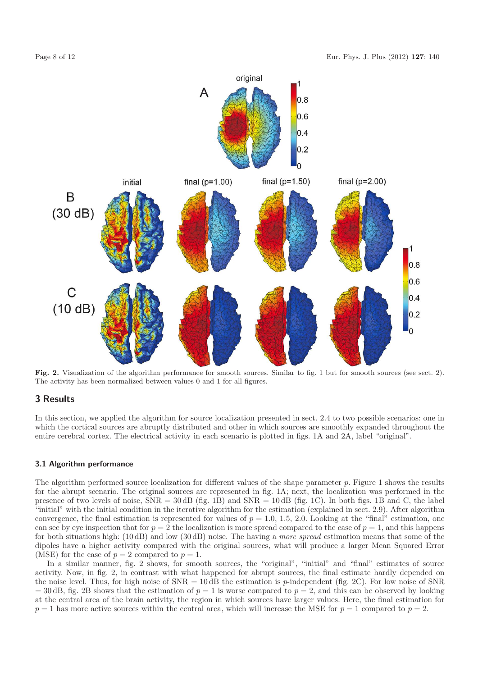

Fig. 2. Visualization of the algorithm performance for smooth sources. Similar to fig. 1 but for smooth sources (see sect. 2). The activity has been normalized between values 0 and 1 for all figures.

## 3 Results

In this section, we applied the algorithm for source localization presented in sect. 2.4 to two possible scenarios: one in which the cortical sources are abruptly distributed and other in which sources are smoothly expanded throughout the entire cerebral cortex. The electrical activity in each scenario is plotted in figs. 1A and 2A, label "original".

#### 3.1 Algorithm performance

The algorithm performed source localization for different values of the shape parameter  $p$ . Figure 1 shows the results for the abrupt scenario. The original sources are represented in fig. 1A; next, the localization was performed in the presence of two levels of noise, SNR = 30 dB (fig. 1B) and SNR = 10 dB (fig. 1C). In both figs. 1B and C, the label "initial" with the initial condition in the iterative algorithm for the estimation (explained in sect. 2.9). After algorithm convergence, the final estimation is represented for values of  $p = 1.0, 1.5, 2.0$ . Looking at the "final" estimation, one can see by eye inspection that for  $p = 2$  the localization is more spread compared to the case of  $p = 1$ , and this happens for both situations high: (10 dB) and low (30 dB) noise. The having a more spread estimation means that some of the dipoles have a higher activity compared with the original sources, what will produce a larger Mean Squared Error (MSE) for the case of  $p = 2$  compared to  $p = 1$ .

In a similar manner, fig. 2 shows, for smooth sources, the "original", "initial" and "final" estimates of source activity. Now, in fig. 2, in contrast with what happened for abrupt sources, the final estimate hardly depended on the noise level. Thus, for high noise of  $SNR = 10$  dB the estimation is p-independent (fig. 2C). For low noise of SNR  $= 30$  dB, fig. 2B shows that the estimation of  $p = 1$  is worse compared to  $p = 2$ , and this can be observed by looking at the central area of the brain activity, the region in which sources have larger values. Here, the final estimation for  $p = 1$  has more active sources within the central area, which will increase the MSE for  $p = 1$  compared to  $p = 2$ .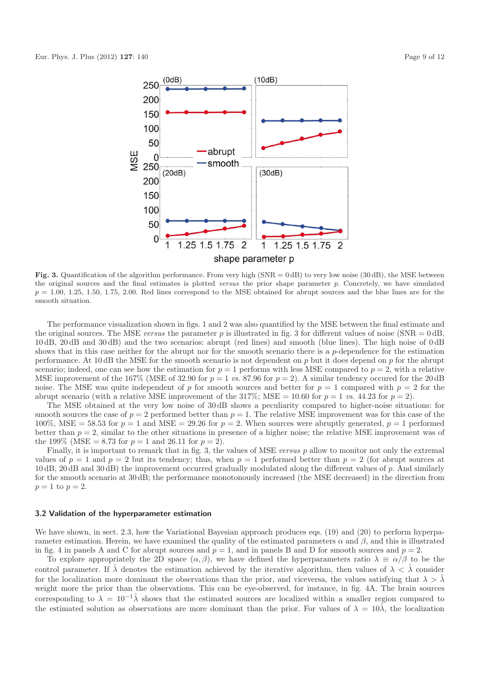

Fig. 3. Quantification of the algorithm performance. From very high  $(SNR = 0 dB)$  to very low noise  $(30 dB)$ , the MSE between the original sources and the final estimates is plotted versus the prior shape parameter p. Concretely, we have simulated  $p = 1.00, 1.25, 1.50, 1.75, 2.00$ . Red lines correspond to the MSE obtained for abrupt sources and the blue lines are for the smooth situation.

The performance visualization shown in figs. 1 and 2 was also quantified by the MSE between the final estimate and the original sources. The MSE versus the parameter p is illustrated in fig. 3 for different values of noise (SNR =  $0 dB$ , 10 dB, 20 dB and 30 dB) and the two scenarios: abrupt (red lines) and smooth (blue lines). The high noise of 0 dB shows that in this case neither for the abrupt nor for the smooth scenario there is a p-dependence for the estimation performance. At 10 dB the MSE for the smooth scenario is not dependent on p but it does depend on p for the abrupt scenario; indeed, one can see how the estimation for  $p = 1$  performs with less MSE compared to  $p = 2$ , with a relative MSE improvement of the 167% (MSE of 32.90 for  $p = 1$  vs. 87.96 for  $p = 2$ ). A similar tendency occured for the 20 dB noise. The MSE was quite independent of p for smooth sources and better for  $p = 1$  compared with  $p = 2$  for the abrupt scenario (with a relative MSE improvement of the 317%; MSE = 10.60 for  $p = 1$  vs. 44.23 for  $p = 2$ ).

The MSE obtained at the very low noise of 30 dB shows a peculiarity compared to higher-noise situations: for smooth sources the case of  $p = 2$  performed better than  $p = 1$ . The relative MSE improvement was for this case of the 100%, MSE = 58.53 for  $p = 1$  and MSE = 29.26 for  $p = 2$ . When sources were abruptly generated,  $p = 1$  performed better than  $p = 2$ , similar to the other situations in presence of a higher noise; the relative MSE improvement was of the 199% (MSE = 8.73 for  $p = 1$  and 26.11 for  $p = 2$ ).

Finally, it is important to remark that in fig. 3, the values of MSE versus p allow to monitor not only the extremal values of  $p = 1$  and  $p = 2$  but its tendency; thus, when  $p = 1$  performed better than  $p = 2$  (for abrupt sources at 10 dB, 20 dB and 30 dB) the improvement occurred gradually modulated along the different values of p. And similarly for the smooth scenario at 30 dB; the performance monotonously increased (the MSE decreased) in the direction from  $p=1$  to  $p=2$ .

#### 3.2 Validation of the hyperparameter estimation

We have shown, in sect. 2.3, how the Variational Bayesian approach produces eqs. (19) and (20) to perform hyperparameter estimation. Herein, we have examined the quality of the estimated parameters  $\alpha$  and  $\beta$ , and this is illustrated in fig. 4 in panels A and C for abrupt sources and  $p = 1$ , and in panels B and D for smooth sources and  $p = 2$ .

To explore appropriately the 2D space  $(\alpha, \beta)$ , we have defined the hyperparameters ratio  $\lambda \equiv \alpha/\beta$  to be the control parameter. If  $\hat{\lambda}$  denotes the estimation achieved by the iterative algorithm, then values of  $\lambda < \hat{\lambda}$  consider for the localization more dominant the observations than the prior, and viceversa, the values satisfying that  $\lambda > \lambda$ weight more the prior than the observations. This can be eye-observed, for instance, in fig. 4A. The brain sources corresponding to  $\lambda = 10^{-1} \hat{\lambda}$  shows that the estimated sources are localized within a smaller region compared to the estimated solution as observations are more dominant than the prior. For values of  $\lambda = 10\hat{\lambda}$ , the localization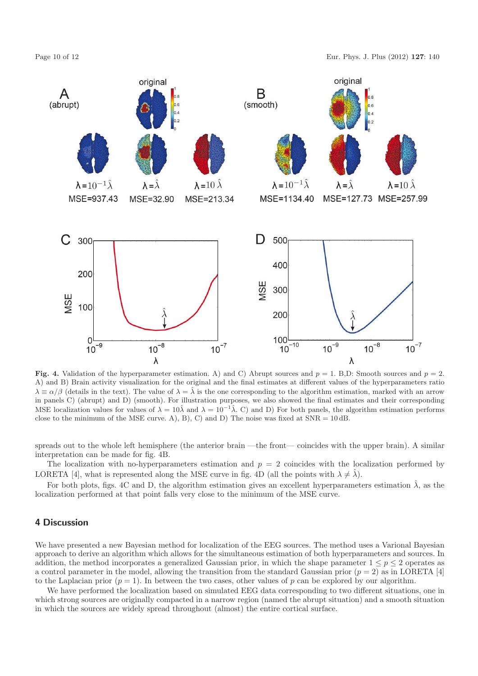

Fig. 4. Validation of the hyperparameter estimation. A) and C) Abrupt sources and  $p = 1$ . B,D: Smooth sources and  $p = 2$ . A) and B) Brain activity visualization for the original and the final estimates at different values of the hyperparameters ratio  $\lambda \equiv \alpha/\beta$  (details in the text). The value of  $\lambda = \hat{\lambda}$  is the one corresponding to the algorithm estimation, marked with an arrow in panels C) (abrupt) and D) (smooth). For illustration purposes, we also showed the final estimates and their corresponding MSE localization values for values of  $\lambda = 10\hat{\lambda}$  and  $\lambda = 10^{-1}\hat{\lambda}$ . C) and D) For both panels, the algorithm estimation performs close to the minimum of the MSE curve. A), B), C) and D) The noise was fixed at  $SNR = 10$  dB.

spreads out to the whole left hemisphere (the anterior brain —the front— coincides with the upper brain). A similar interpretation can be made for fig. 4B.

The localization with no-hyperparameters estimation and  $p = 2$  coincides with the localization performed by LORETA [4], what is represented along the MSE curve in fig. 4D (all the points with  $\lambda \neq \lambda$ ).

For both plots, figs. 4C and D, the algorithm estimation gives an excellent hyperparameters estimation  $\lambda$ , as the localization performed at that point falls very close to the minimum of the MSE curve.

## 4 Discussion

We have presented a new Bayesian method for localization of the EEG sources. The method uses a Varional Bayesian approach to derive an algorithm which allows for the simultaneous estimation of both hyperparameters and sources. In addition, the method incorporates a generalized Gaussian prior, in which the shape parameter  $1 \le p \le 2$  operates as a control parameter in the model, allowing the transition from the standard Gaussian prior  $(p = 2)$  as in LORETA [4] to the Laplacian prior  $(p = 1)$ . In between the two cases, other values of p can be explored by our algorithm.

We have performed the localization based on simulated EEG data corresponding to two different situations, one in which strong sources are originally compacted in a narrow region (named the abrupt situation) and a smooth situation in which the sources are widely spread throughout (almost) the entire cortical surface.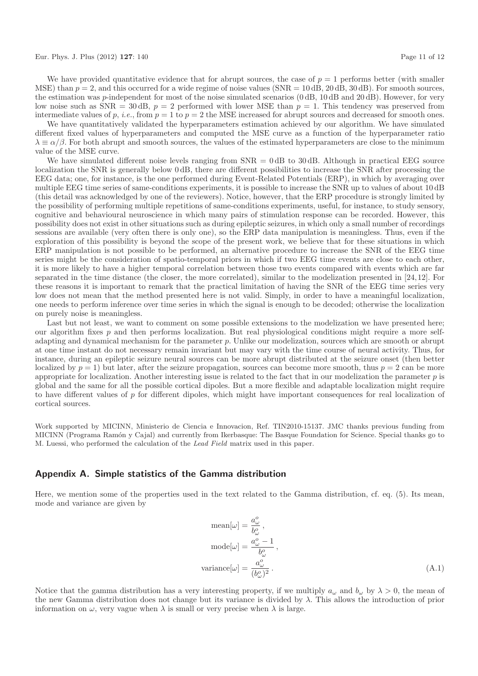Eur. Phys. J. Plus (2012) 127: 140 Page 11 of 12

We have provided quantitative evidence that for abrupt sources, the case of  $p = 1$  performs better (with smaller MSE) than  $p = 2$ , and this occurred for a wide regime of noise values (SNR = 10 dB, 20 dB, 30 dB). For smooth sources, the estimation was p-independent for most of the noise simulated scenarios  $(0 \text{ dB}, 10 \text{ dB} \text{ and } 20 \text{ dB})$ . However, for very low noise such as  $SNR = 30 \text{ dB}$ ,  $p = 2$  performed with lower MSE than  $p = 1$ . This tendency was preserved from intermediate values of p, *i.e.*, from  $p = 1$  to  $p = 2$  the MSE increased for abrupt sources and decreased for smooth ones.

We have quantitatively validated the hyperparameters estimation achieved by our algorithm. We have simulated different fixed values of hyperparameters and computed the MSE curve as a function of the hyperparameter ratio  $\lambda \equiv \alpha/\beta$ . For both abrupt and smooth sources, the values of the estimated hyperparameters are close to the minimum value of the MSE curve.

We have simulated different noise levels ranging from  $SNR = 0$  dB to 30 dB. Although in practical EEG source localization the SNR is generally below 0 dB, there are different possibilities to increase the SNR after processing the EEG data; one, for instance, is the one performed during Event-Related Potentials (ERP), in which by averaging over multiple EEG time series of same-conditions experiments, it is possible to increase the SNR up to values of about 10 dB (this detail was acknowledged by one of the reviewers). Notice, however, that the ERP procedure is strongly limited by the possibility of performing multiple repetitions of same-conditions experiments, useful, for instance, to study sensory, cognitive and behavioural neuroscience in which many pairs of stimulation response can be recorded. However, this possibility does not exist in other situations such as during epileptic seizures, in which only a small number of recordings sessions are available (very often there is only one), so the ERP data manipulation is meaningless. Thus, even if the exploration of this possibility is beyond the scope of the present work, we believe that for these situations in which ERP manipulation is not possible to be performed, an alternative procedure to increase the SNR of the EEG time series might be the consideration of spatio-temporal priors in which if two EEG time events are close to each other, it is more likely to have a higher temporal correlation between those two events compared with events which are far separated in the time distance (the closer, the more correlated), similar to the modelization presented in [24, 12]. For these reasons it is important to remark that the practical limitation of having the SNR of the EEG time series very low does not mean that the method presented here is not valid. Simply, in order to have a meaningful localization, one needs to perform inference over time series in which the signal is enough to be decoded; otherwise the localization on purely noise is meaningless.

Last but not least, we want to comment on some possible extensions to the modelization we have presented here; our algorithm fixes  $p$  and then performs localization. But real physiological conditions might require a more selfadapting and dynamical mechanism for the parameter p. Unlike our modelization, sources which are smooth or abrupt at one time instant do not necessary remain invariant but may vary with the time course of neural activity. Thus, for instance, during an epileptic seizure neural sources can be more abrupt distributed at the seizure onset (then better localized by  $p = 1$ ) but later, after the seizure propagation, sources can become more smooth, thus  $p = 2$  can be more appropriate for localization. Another interesting issue is related to the fact that in our modelization the parameter  $p$  is global and the same for all the possible cortical dipoles. But a more flexible and adaptable localization might require to have different values of p for different dipoles, which might have important consequences for real localization of cortical sources.

Work supported by MICINN, Ministerio de Ciencia e Innovacion, Ref. TIN2010-15137. JMC thanks previous funding from MICINN (Programa Ramón y Cajal) and currently from Ikerbasque: The Basque Foundation for Science. Special thanks go to M. Luessi, who performed the calculation of the Lead Field matrix used in this paper.

## Appendix A. Simple statistics of the Gamma distribution

Here, we mention some of the properties used in the text related to the Gamma distribution, cf. eq. (5). Its mean, mode and variance are given by

$$
\text{mean}[\omega] = \frac{a_{\omega}^o}{b_{\omega}^o},
$$

$$
\text{mode}[\omega] = \frac{a_{\omega}^o - 1}{b_{\omega}^o},
$$

$$
\text{variance}[\omega] = \frac{a_{\omega}^o}{(b_{\omega}^o)^2}.
$$
(A.1)

Notice that the gamma distribution has a very interesting property, if we multiply  $a_{\omega}$  and  $b_{\omega}$  by  $\lambda > 0$ , the mean of the new Gamma distribution does not change but its variance is divided by  $\lambda$ . This allows the introduction of prior information on  $\omega$ , very vague when  $\lambda$  is small or very precise when  $\lambda$  is large.